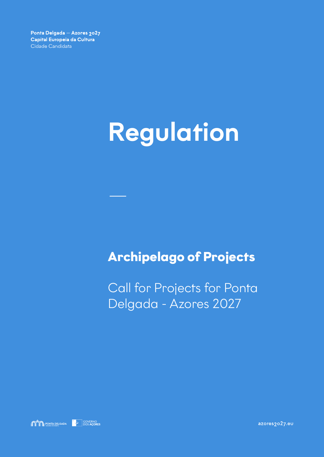# Regulation

—

## **Archipelago of Projects**

Call for Projects for Ponta Delgada - Azores 2027

**SOVERING PONTA DELGADA** COVERNO

azores2027.eu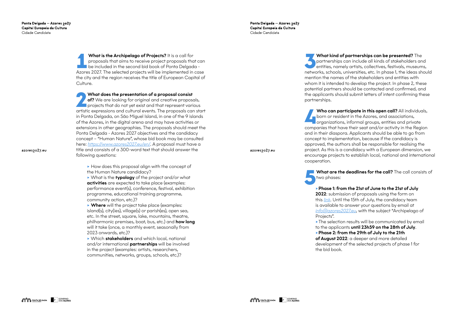Ponta Delgada - Azores 2027 Capital Europeia da Cultura Cidade Candidata

**1 What is the Archipelago of Projects?** It is a call for proposals that aims to receive project proposals that condensation be included in the second bid book of Ponta Delgada proposals that aims to receive project proposals that can Azores 2027. The selected projects will be implemented in case the city and the region receives the title of European Capital of Culture.

What does the presentation of a proposal consist<br>
of? We are looking for original and creative proposals,<br>
projects that do not yet exist and that represent various<br>
antistic expressions and subtural suspts. The proposals of? We are looking for original and creative proposals, artistic expressions and cultural events. The proposals can start in Ponta Delgada, on São Miguel Island, in one of the 9 islands of the Azores, in the digital arena and may have activities or extensions in other geographies. The proposals should meet the Ponta Delgada - Azores 2027 objectives and the candidacy concept – "Human Nature", whose bid book may be consulted here: *<https://www.azores2027.eu/en/>*. A proposal must have a title and consists of a 300-word text that should answer the following questions:

azores<sub>2027.eu</sub>

▶ Which **stakeholders** and which local, national and/or international partnerships will be involved in the project (examples: artists, researchers, communities, networks, groups, schools, etc.)?

azores<sub>2027.eu</sub>

▸ How does this proposal align with the concept of the Human Nature candidacy?

What kind of partnerships can be presented? The partnerships can include all kinds of stakeholders an entities, namely artists, collectives, festivals, museum partnerships can include all kinds of stakeholders and *I* entities, namely artists, collectives, festivals, museums, networks, schools, universities, etc. In phase 1, the ideas should mention the names of the stakeholders and entities with whom it is intended to develop the project. In phase 2, these potential partners should be contacted and confirmed, and the applicants should submit letters of intent confirming these partnerships.

▸ What is the typology of the project and/or what activities are expected to take place (examples: performance event(s), conference, festival, exhibition programme, educational training programme, community action, etc.)?

Who can participate in this open call? All individuals,<br>born or resident in the Azores, and associations,<br>organizations, informal groups, entities and private born or resident in the Azores, and associations, **Corganizations, informal groups, entities and private** companies that have their seat and/or activity in the Region and in their diaspora. Applicants should be able to go from concept to implementation, because if the candidacy is approved, the authors shall be responsible for realising the project. As this is a candidacy with a European dimension, we encourage projects to establish local, national and international cooperation.

▸ Where will the project take place (examples: island(s), city(ies), village(s) or parish(es), open sea, etc. In the street, square, lake, mountains, theatre, philharmonic premises, boat, bus, etc.) and **how long** will it take (once, a monthly event, seasonally from 2023 onwards, etc.)?

▸Phase 1: from the 21st of June to the 21st of July 2022: submission of proposals using the form on this *[link](https://forms.gle/HHbNKoXcbDWaWzMEA)*. Until the 15th of July, the candidacy team is available to answer your questions by email at *[info@azores2027.eu](mailto:info%40azores2027.eu?subject=)*, with the subject "Archipelago of Projects".

▸The selection results will be communicated by email to the applicants until 23h59 on the 28th of July. ▸Phase 2: from the 29th of July to the 21th of August 2022: a deeper and more detailed

two phases:

development of the selected projects of phase 1 for the bid book.

**What are the deadlines for the call?** The call consists of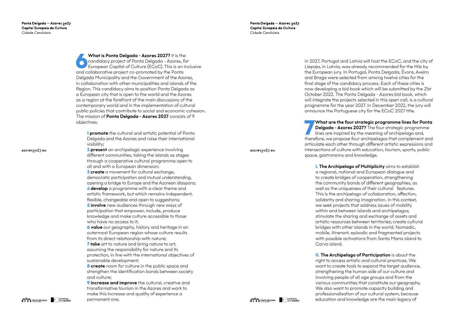azores<sub>2027.eu</sub>

Ponta Delgada - Azores 2027 Capital Europeia da Cultura Cidade Candidata

What is Ponta Delgada - Azores 2027? It is the<br>
candidacy project of Ponta Delgada - Azores, for<br>
European Capital of Culture (ECoC). This is an inclusive<br>
and sellaborative assisted a speculated by the Penta candidacy project of Ponta Delgada - Azores, for and collaborative project co-promoted by the Ponta Delgada Municipality and the Government of the Azores, in collaboration with other municipalities and islands of the Region. This candidacy aims to position Ponta Delgada as a European city that is open to the world and the Azores as a region at the forefront of the main discussions of the contemporary world and in the implementation of cultural public policies that contribute to social and economic cohesion. The mission of **Ponta Delgada - Azores 2027** consists of 9 objectives:

artistic framework, but which remains independent, flexible, changeable and open to suggestions; **5 involve** new audiences through new ways of

**1** promote the cultural and artistic potential of Ponta Delgada and the Azores and raise their international visibility;

**7 take** art to nature and bring nature to art, assuming the responsibility for nature and its protection, in line with the international objectives of sustainable development;

**2** present an archipelagic experience involving different communities, taking the islands as stages through a cooperative cultural programme open to all and with a European dimension;

**8 create** room for culture in the public space and strengthen the identification bonds between society and culture;

**9 increase and improve** the cultural, creative and transformative tourism in the Azores and work to make this increase and quality of experience a permanent one.

azores<sub>2027.eu</sub>

**3** create a movement for cultural exchange, democratic participation and mutual understanding, opening a bridge to Europe and the Azorean diaspora; **4** develop a programme with a clear theme and

participation that empower, include, produce knowledge and make culture accessible to those who have no access to it;

Delgada - Azores 2027? The four strategic programme lines are inspired by the meaning of archipelago and,

What are the four strategic programme lines for Ponta<br>Delgada - Azores 2027? The four strategic programme<br>lines are inspired by the meaning of archipelago and,<br>therefore we are reason four archipelagos that complement and therefore, we propose four archipelagos that complement and articulate each other through different artistic expressions and intersections of culture with education, tourism, sports, public space, gastronomy and knowledge.

**6** value our geography, history and heritage in an outermost European region whose culture results from its direct relationship with nature;

**I. The Archipelago of Multiplicity** aims to establish a regional, national and European dialogue and to create bridges of cooperation, strengthening the community bonds of different geographies, as well as the uniqueness of their cultural features. This is the archipelago of collaboration, affection, solidarity and sharing imagination. In this context, we seek projects that address issues of mobility within and between islands and archipelagos; stimulate the sharing and exchange of assets and artistic resources between territories; create cultural bridges with other islands in the world. Nomadic, mobile, itinerant, episodic and fragmented projects with possible activations from Santa Maria island to Corvo island.

**II. The Archipelago of Participation** is about the right to access artistic and cultural practices. We want to create tools to expand the target audience, strengthening the human side of our culture and involving people of all age groups and from the various communities that constitute our geography. We also want to promote capacity building and professionalisation of our cultural system, because education and knowledge are the main legacy of







In 2027, Portugal and Latvia will host the ECoC, and the city of Liepaja, in Latvia, was already recommended for the title by the European jury. In Portugal, Ponta Delgada, Évora, Aveiro and Braga were selected from among twelve cities for the final stage of the candidacy process. Each of these cities is now developing a bid book which will be submitted by the 21st October 2022. The Ponta Delgada - Azores bid book, which will integrate the projects selected in this open call, is a cultural programme for the year 2027. In December 2022, the jury will announce the Portuguese city for the ECoC 2027 title.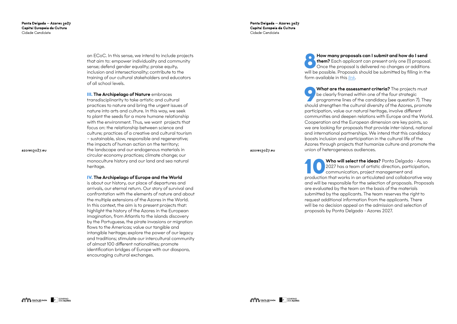> an ECoC. In this sense, we intend to include projects that aim to: empower individuality and community sense; defend gender equality; praise equity, inclusion and intersectionality; contribute to the training of our cultural stakeholders and educators of all school levels.

**III. The Archipelago of Nature embraces** transdisciplinarity to take artistic and cultural practices to nature and bring the urgent issues of nature into arts and culture. In this way, we seek to plant the seeds for a more humane relationship with the environment. Thus, we want projects that focus on: the relationship between science and culture; practices of a creative and cultural tourism – sustainable, slow, responsible and regenerative; the impacts of human action on the territory; the landscape and our endogenous materials in circular economy practices; climate change; our monoculture history and our land and sea natural heritage.

**IV.** The Archipelago of Europe and the World

**8 8 How many proposals can I submit and how do I send<br>
Them?** Each applicant can present only one (1) proposal<br>
Once the proposal is delivered no changes or additions<br>
will be acceived by the submitted by filing in the **them?** Each applicant can **I submit and how do I send**<br>**them?** Each applicant can present only one (1) proposal. will be possible. Proposals should be submitted by filling in the form available in this *[link](https://forms.gle/HHbNKoXcbDWaWzMEA)* .

What are the assessment criteria? The projects must<br>be clearly framed within one of the four strategic<br>programme lines of the candidacy (see question 7). They<br>should strengthen the outtured diversity of the Azeros promote be clearly framed within one of the four strategic should strengthen the cultural diversity of the Azores, promote participation, value our natural heritage, involve different communities and deepen relations with Europe and the World. Cooperation and the European dimension are key points, so we are looking for proposals that provide inter-island, national and international partnerships. We intend that this candidacy boosts inclusion and participation in the cultural life of the Azores through projects that humanize culture and promote the union of heterogeneous audiences.

is about our history, our place of departures and arrivals, our eternal return. Our story of survival and confrontation with the elements of nature and about the multiple extensions of the Azores in the World. In this context, the aim is to present projects that: highlight the history of the Azores in the European imagination, from Atlantis to the islands discovery by the Portuguese, the pirate invasions or migration flows to the Americas; value our tangible and intangible heritage; explore the power of our legacy and traditions; stimulate our intercultural community of almost 100 different nationalities; promote identification bridges of Europe with our diaspora, encouraging cultural exchanges.

Ponta Delgada - Azores 2027 Capital Europeia da Cultura Cidade Candidata

azores<sub>2027.eu</sub>

Who will select the ideas? Ponta Delgada - Azores<br>2027 has a team of artistic direction, participation,<br>communication, project management and 2027 has a team of artistic direction, participation, communication, project management and production that works in an articulated and collaborative way and will be responsible for the selection of proposals. Proposals are evaluated by the team on the basis of the materials submitted by the applicants. The team reserves the right to request additional information from the applicants. There will be no decision appeal on the admission and selection of proposals by Ponta Delgada - Azores 2027.

azores<sub>2027.eu</sub>